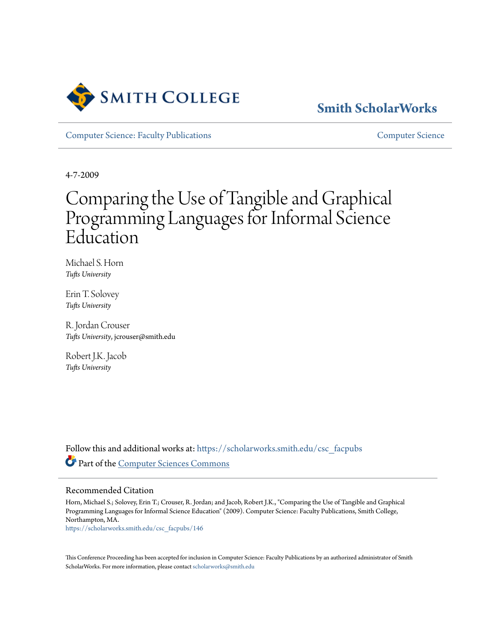

# **[Smith ScholarWorks](https://scholarworks.smith.edu/?utm_source=scholarworks.smith.edu%2Fcsc_facpubs%2F146&utm_medium=PDF&utm_campaign=PDFCoverPages)**

[Computer Science: Faculty Publications](https://scholarworks.smith.edu/csc_facpubs?utm_source=scholarworks.smith.edu%2Fcsc_facpubs%2F146&utm_medium=PDF&utm_campaign=PDFCoverPages) [Computer Science](https://scholarworks.smith.edu/csc?utm_source=scholarworks.smith.edu%2Fcsc_facpubs%2F146&utm_medium=PDF&utm_campaign=PDFCoverPages)

4-7-2009

# Comparing the Use of Tangible and Graphical Programming Languages for Informal Science Education

Michael S. Horn *Tufts University*

Erin T. Solovey *Tufts University*

R. Jordan Crouser *Tufts University*, jcrouser@smith.edu

Robert J.K. Jacob *Tufts University*

Follow this and additional works at: [https://scholarworks.smith.edu/csc\\_facpubs](https://scholarworks.smith.edu/csc_facpubs?utm_source=scholarworks.smith.edu%2Fcsc_facpubs%2F146&utm_medium=PDF&utm_campaign=PDFCoverPages) Part of the [Computer Sciences Commons](http://network.bepress.com/hgg/discipline/142?utm_source=scholarworks.smith.edu%2Fcsc_facpubs%2F146&utm_medium=PDF&utm_campaign=PDFCoverPages)

# Recommended Citation

Horn, Michael S.; Solovey, Erin T.; Crouser, R. Jordan; and Jacob, Robert J.K., "Comparing the Use of Tangible and Graphical Programming Languages for Informal Science Education" (2009). Computer Science: Faculty Publications, Smith College, Northampton, MA.

[https://scholarworks.smith.edu/csc\\_facpubs/146](https://scholarworks.smith.edu/csc_facpubs/146?utm_source=scholarworks.smith.edu%2Fcsc_facpubs%2F146&utm_medium=PDF&utm_campaign=PDFCoverPages)

This Conference Proceeding has been accepted for inclusion in Computer Science: Faculty Publications by an authorized administrator of Smith ScholarWorks. For more information, please contact [scholarworks@smith.edu](mailto:scholarworks@smith.edu)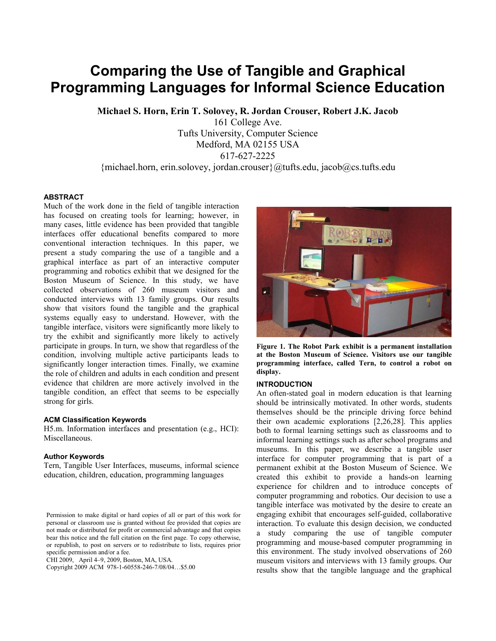# Comparing the Use of Tangible and Graphical Programming Languages for Informal Science Education

Michael S. Horn, Erin T. Solovey, R. Jordan Crouser, Robert J.K. Jacob

161 College Ave. Tufts University, Computer Science Medford, MA 02155 USA 617-627-2225

{michael.horn, erin.solovey, jordan.crouser}@tufts.edu, jacob@cs.tufts.edu

# **ABSTRACT**

Much of the work done in the field of tangible interaction has focused on creating tools for learning; however, in many cases, little evidence has been provided that tangible interfaces offer educational benefits compared to more conventional interaction techniques. In this paper, we present a study comparing the use of a tangible and a graphical interface as part of an interactive computer programming and robotics exhibit that we designed for the Boston Museum of Science. In this study, we have collected observations of 260 museum visitors and conducted interviews with 13 family groups. Our results show that visitors found the tangible and the graphical systems equally easy to understand. However, with the tangible interface, visitors were significantly more likely to try the exhibit and significantly more likely to actively participate in groups. In turn, we show that regardless of the condition, involving multiple active participants leads to significantly longer interaction times. Finally, we examine the role of children and adults in each condition and present evidence that children are more actively involved in the tangible condition, an effect that seems to be especially strong for girls.

#### ACM Classification Keywords

H5.m. Information interfaces and presentation (e.g., HCI): Miscellaneous.

## Author Keywords

Tern, Tangible User Interfaces, museums, informal science education, children, education, programming languages

CHI 2009, April 4–9, 2009, Boston, MA, USA.

Copyright 2009 ACM 978-1-60558-246-7/08/04…\$5.00



Figure 1. The Robot Park exhibit is a permanent installation at the Boston Museum of Science. Visitors use our tangible programming interface, called Tern, to control a robot on display.

## INTRODUCTION

An often-stated goal in modern education is that learning should be intrinsically motivated. In other words, students themselves should be the principle driving force behind their own academic explorations [2,26,28]. This applies both to formal learning settings such as classrooms and to informal learning settings such as after school programs and museums. In this paper, we describe a tangible user interface for computer programming that is part of a permanent exhibit at the Boston Museum of Science. We created this exhibit to provide a hands-on learning experience for children and to introduce concepts of computer programming and robotics. Our decision to use a tangible interface was motivated by the desire to create an engaging exhibit that encourages self-guided, collaborative interaction. To evaluate this design decision, we conducted a study comparing the use of tangible computer programming and mouse-based computer programming in this environment. The study involved observations of 260 museum visitors and interviews with 13 family groups. Our results show that the tangible language and the graphical

Permission to make digital or hard copies of all or part of this work for personal or classroom use is granted without fee provided that copies are not made or distributed for profit or commercial advantage and that copies bear this notice and the full citation on the first page. To copy otherwise, or republish, to post on servers or to redistribute to lists, requires prior specific permission and/or a fee.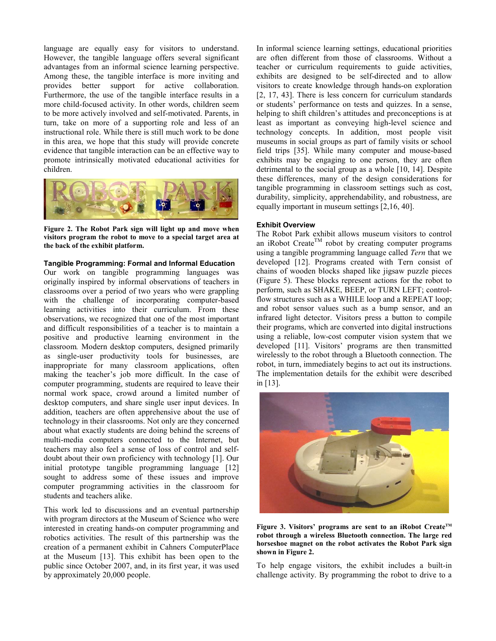language are equally easy for visitors to understand. However, the tangible language offers several significant advantages from an informal science learning perspective. Among these, the tangible interface is more inviting and provides better support for active collaboration. Furthermore, the use of the tangible interface results in a more child-focused activity. In other words, children seem to be more actively involved and self-motivated. Parents, in turn, take on more of a supporting role and less of an instructional role. While there is still much work to be done in this area, we hope that this study will provide concrete evidence that tangible interaction can be an effective way to promote intrinsically motivated educational activities for children.



Figure 2. The Robot Park sign will light up and move when visitors program the robot to move to a special target area at the back of the exhibit platform.

Tangible Programming: Formal and Informal Education

Our work on tangible programming languages was originally inspired by informal observations of teachers in classrooms over a period of two years who were grappling with the challenge of incorporating computer-based learning activities into their curriculum. From these observations, we recognized that one of the most important and difficult responsibilities of a teacher is to maintain a positive and productive learning environment in the classroom. Modern desktop computers, designed primarily as single-user productivity tools for businesses, are inappropriate for many classroom applications, often making the teacher's job more difficult. In the case of computer programming, students are required to leave their normal work space, crowd around a limited number of desktop computers, and share single user input devices. In addition, teachers are often apprehensive about the use of technology in their classrooms. Not only are they concerned about what exactly students are doing behind the screens of multi-media computers connected to the Internet, but teachers may also feel a sense of loss of control and selfdoubt about their own proficiency with technology [1]. Our initial prototype tangible programming language [12] sought to address some of these issues and improve computer programming activities in the classroom for students and teachers alike.

This work led to discussions and an eventual partnership with program directors at the Museum of Science who were interested in creating hands-on computer programming and robotics activities. The result of this partnership was the creation of a permanent exhibit in Cahners ComputerPlace at the Museum [13]. This exhibit has been open to the public since October 2007, and, in its first year, it was used by approximately 20,000 people.

In informal science learning settings, educational priorities are often different from those of classrooms. Without a teacher or curriculum requirements to guide activities, exhibits are designed to be self-directed and to allow visitors to create knowledge through hands-on exploration [2, 17, 43]. There is less concern for curriculum standards or students' performance on tests and quizzes. In a sense, helping to shift children's attitudes and preconceptions is at least as important as conveying high-level science and technology concepts. In addition, most people visit museums in social groups as part of family visits or school field trips [35]. While many computer and mouse-based exhibits may be engaging to one person, they are often detrimental to the social group as a whole [10, 14]. Despite these differences, many of the design considerations for tangible programming in classroom settings such as cost, durability, simplicity, apprehendability, and robustness, are equally important in museum settings [2,16, 40].

#### Exhibit Overview

The Robot Park exhibit allows museum visitors to control an iRobot Create<sup>TM</sup> robot by creating computer programs using a tangible programming language called Tern that we developed [12]. Programs created with Tern consist of chains of wooden blocks shaped like jigsaw puzzle pieces (Figure 5). These blocks represent actions for the robot to perform, such as SHAKE, BEEP, or TURN LEFT; controlflow structures such as a WHILE loop and a REPEAT loop; and robot sensor values such as a bump sensor, and an infrared light detector. Visitors press a button to compile their programs, which are converted into digital instructions using a reliable, low-cost computer vision system that we developed [11]. Visitors' programs are then transmitted wirelessly to the robot through a Bluetooth connection. The robot, in turn, immediately begins to act out its instructions. The implementation details for the exhibit were described in [13].



Figure 3. Visitors' programs are sent to an iRobot Create<sup>™</sup> robot through a wireless Bluetooth connection. The large red horseshoe magnet on the robot activates the Robot Park sign shown in Figure 2.

To help engage visitors, the exhibit includes a built-in challenge activity. By programming the robot to drive to a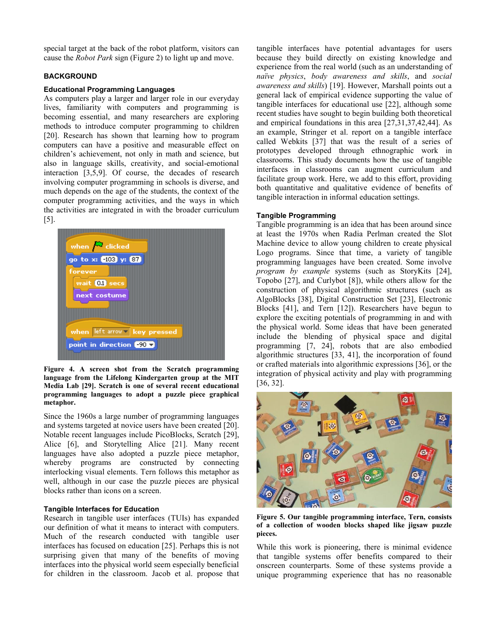special target at the back of the robot platform, visitors can cause the Robot Park sign (Figure 2) to light up and move.

# BACKGROUND

# Educational Programming Languages

As computers play a larger and larger role in our everyday lives, familiarity with computers and programming is becoming essential, and many researchers are exploring methods to introduce computer programming to children [20]. Research has shown that learning how to program computers can have a positive and measurable effect on children's achievement, not only in math and science, but also in language skills, creativity, and social-emotional interaction [3,5,9]. Of course, the decades of research involving computer programming in schools is diverse, and much depends on the age of the students, the context of the computer programming activities, and the ways in which the activities are integrated in with the broader curriculum [5].



Figure 4. A screen shot from the Scratch programming language from the Lifelong Kindergarten group at the MIT Media Lab [29]. Scratch is one of several recent educational programming languages to adopt a puzzle piece graphical metaphor.

Since the 1960s a large number of programming languages and systems targeted at novice users have been created [20]. Notable recent languages include PicoBlocks, Scratch [29], Alice [6], and Storytelling Alice [21]. Many recent languages have also adopted a puzzle piece metaphor, whereby programs are constructed by connecting interlocking visual elements. Tern follows this metaphor as well, although in our case the puzzle pieces are physical blocks rather than icons on a screen.

# Tangible Interfaces for Education

Research in tangible user interfaces (TUIs) has expanded our definition of what it means to interact with computers. Much of the research conducted with tangible user interfaces has focused on education [25]. Perhaps this is not surprising given that many of the benefits of moving interfaces into the physical world seem especially beneficial for children in the classroom. Jacob et al. propose that tangible interfaces have potential advantages for users because they build directly on existing knowledge and experience from the real world (such as an understanding of naïve physics, body awareness and skills, and social awareness and skills) [19]. However, Marshall points out a general lack of empirical evidence supporting the value of tangible interfaces for educational use [22], although some recent studies have sought to begin building both theoretical and empirical foundations in this area [27,31,37,42,44]. As an example, Stringer et al. report on a tangible interface called Webkits [37] that was the result of a series of prototypes developed through ethnographic work in classrooms. This study documents how the use of tangible interfaces in classrooms can augment curriculum and facilitate group work. Here, we add to this effort, providing both quantitative and qualitative evidence of benefits of tangible interaction in informal education settings.

## Tangible Programming

Tangible programming is an idea that has been around since at least the 1970s when Radia Perlman created the Slot Machine device to allow young children to create physical Logo programs. Since that time, a variety of tangible programming languages have been created. Some involve program by example systems (such as StoryKits [24], Topobo [27], and Curlybot [8]), while others allow for the construction of physical algorithmic structures (such as AlgoBlocks [38], Digital Construction Set [23], Electronic Blocks [41], and Tern [12]). Researchers have begun to explore the exciting potentials of programming in and with the physical world. Some ideas that have been generated include the blending of physical space and digital programming [7, 24], robots that are also embodied algorithmic structures [33, 41], the incorporation of found or crafted materials into algorithmic expressions [36], or the integration of physical activity and play with programming [36, 32].



Figure 5. Our tangible programming interface, Tern, consists of a collection of wooden blocks shaped like jigsaw puzzle pieces.

While this work is pioneering, there is minimal evidence that tangible systems offer benefits compared to their onscreen counterparts. Some of these systems provide a unique programming experience that has no reasonable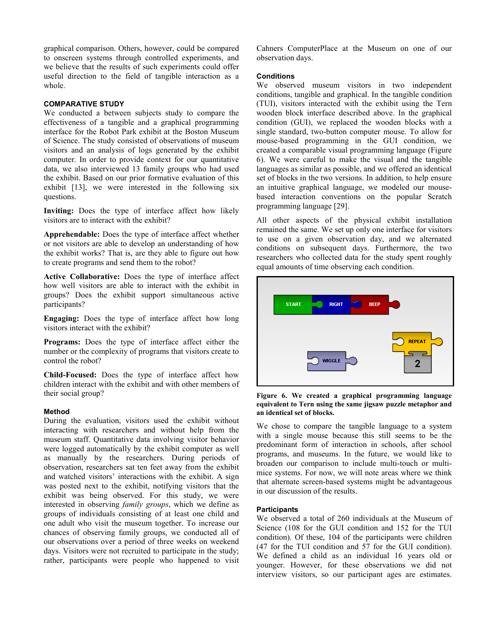graphical comparison. Others, however, could be compared to onscreen systems through controlled experiments, and we believe that the results of such experiments could offer useful direction to the field of tangible interaction as a whole.

# COMPARATIVE STUDY

We conducted a between subjects study to compare the effectiveness of a tangible and a graphical programming interface for the Robot Park exhibit at the Boston Museum of Science. The study consisted of observations of museum visitors and an analysis of logs generated by the exhibit computer. In order to provide context for our quantitative data, we also interviewed 13 family groups who had used the exhibit. Based on our prior formative evaluation of this exhibit [13], we were interested in the following six questions.

Inviting: Does the type of interface affect how likely visitors are to interact with the exhibit?

Apprehendable: Does the type of interface affect whether or not visitors are able to develop an understanding of how the exhibit works? That is, are they able to figure out how to create programs and send them to the robot?

Active Collaborative: Does the type of interface affect how well visitors are able to interact with the exhibit in groups? Does the exhibit support simultaneous active participants?

Engaging: Does the type of interface affect how long visitors interact with the exhibit?

Programs: Does the type of interface affect either the number or the complexity of programs that visitors create to control the robot?

Child-Focused: Does the type of interface affect how children interact with the exhibit and with other members of their social group?

#### Method

During the evaluation, visitors used the exhibit without interacting with researchers and without help from the museum staff. Quantitative data involving visitor behavior were logged automatically by the exhibit computer as well as manually by the researchers. During periods of observation, researchers sat ten feet away from the exhibit and watched visitors' interactions with the exhibit. A sign was posted next to the exhibit, notifying visitors that the exhibit was being observed. For this study, we were interested in observing family groups, which we define as groups of individuals consisting of at least one child and one adult who visit the museum together. To increase our chances of observing family groups, we conducted all of our observations over a period of three weeks on weekend days. Visitors were not recruited to participate in the study; rather, participants were people who happened to visit

Cahners ComputerPlace at the Museum on one of our observation days.

# **Conditions**

We observed museum visitors in two independent conditions, tangible and graphical. In the tangible condition (TUI), visitors interacted with the exhibit using the Tern wooden block interface described above. In the graphical condition (GUI), we replaced the wooden blocks with a single standard, two-button computer mouse. To allow for mouse-based programming in the GUI condition, we created a comparable visual programming language (Figure 6). We were careful to make the visual and the tangible languages as similar as possible, and we offered an identical set of blocks in the two versions. In addition, to help ensure an intuitive graphical language, we modeled our mousebased interaction conventions on the popular Scratch programming language [29].

All other aspects of the physical exhibit installation remained the same. We set up only one interface for visitors to use on a given observation day, and we alternated conditions on subsequent days. Furthermore, the two researchers who collected data for the study spent roughly equal amounts of time observing each condition.



Figure 6. We created a graphical programming language equivalent to Tern using the same jigsaw puzzle metaphor and an identical set of blocks.

We chose to compare the tangible language to a system with a single mouse because this still seems to be the predominant form of interaction in schools, after school programs, and museums. In the future, we would like to broaden our comparison to include multi-touch or multimice systems. For now, we will note areas where we think that alternate screen-based systems might be advantageous in our discussion of the results.

# **Participants**

We observed a total of 260 individuals at the Museum of Science (108 for the GUI condition and 152 for the TUI condition). Of these, 104 of the participants were children (47 for the TUI condition and 57 for the GUI condition). We defined a child as an individual 16 years old or younger. However, for these observations we did not interview visitors, so our participant ages are estimates.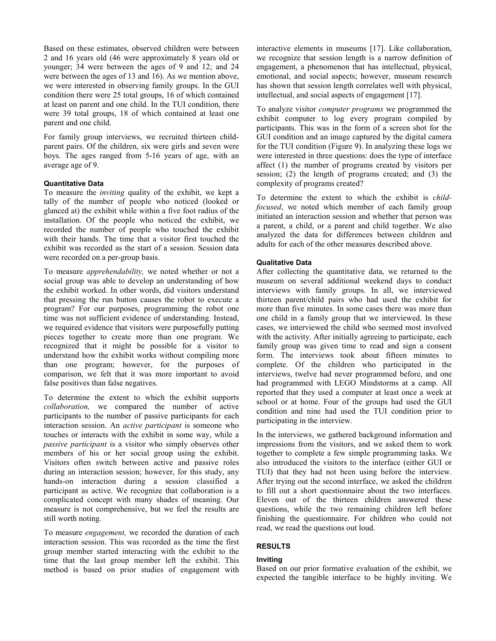Based on these estimates, observed children were between 2 and 16 years old (46 were approximately 8 years old or younger; 34 were between the ages of 9 and 12; and 24 were between the ages of 13 and 16). As we mention above, we were interested in observing family groups. In the GUI condition there were 25 total groups, 16 of which contained at least on parent and one child. In the TUI condition, there were 39 total groups, 18 of which contained at least one parent and one child.

For family group interviews, we recruited thirteen childparent pairs. Of the children, six were girls and seven were boys. The ages ranged from 5-16 years of age, with an average age of 9.

# Quantitative Data

To measure the inviting quality of the exhibit, we kept a tally of the number of people who noticed (looked or glanced at) the exhibit while within a five foot radius of the installation. Of the people who noticed the exhibit, we recorded the number of people who touched the exhibit with their hands. The time that a visitor first touched the exhibit was recorded as the start of a session. Session data were recorded on a per-group basis.

To measure apprehendability, we noted whether or not a social group was able to develop an understanding of how the exhibit worked. In other words, did visitors understand that pressing the run button causes the robot to execute a program? For our purposes, programming the robot one time was not sufficient evidence of understanding. Instead, we required evidence that visitors were purposefully putting pieces together to create more than one program. We recognized that it might be possible for a visitor to understand how the exhibit works without compiling more than one program; however, for the purposes of comparison, we felt that it was more important to avoid false positives than false negatives.

To determine the extent to which the exhibit supports collaboration, we compared the number of active participants to the number of passive participants for each interaction session. An active participant is someone who touches or interacts with the exhibit in some way, while a passive participant is a visitor who simply observes other members of his or her social group using the exhibit. Visitors often switch between active and passive roles during an interaction session; however, for this study, any hands-on interaction during a session classified a participant as active. We recognize that collaboration is a complicated concept with many shades of meaning. Our measure is not comprehensive, but we feel the results are still worth noting.

To measure engagement, we recorded the duration of each interaction session. This was recorded as the time the first group member started interacting with the exhibit to the time that the last group member left the exhibit. This method is based on prior studies of engagement with

interactive elements in museums [17]. Like collaboration, we recognize that session length is a narrow definition of engagement, a phenomenon that has intellectual, physical, emotional, and social aspects; however, museum research has shown that session length correlates well with physical, intellectual, and social aspects of engagement [17].

To analyze visitor computer programs we programmed the exhibit computer to log every program compiled by participants. This was in the form of a screen shot for the GUI condition and an image captured by the digital camera for the TUI condition (Figure 9). In analyzing these logs we were interested in three questions: does the type of interface affect (1) the number of programs created by visitors per session; (2) the length of programs created; and (3) the complexity of programs created?

To determine the extent to which the exhibit is childfocused, we noted which member of each family group initiated an interaction session and whether that person was a parent, a child, or a parent and child together. We also analyzed the data for differences between children and adults for each of the other measures described above.

## Qualitative Data

After collecting the quantitative data, we returned to the museum on several additional weekend days to conduct interviews with family groups. In all, we interviewed thirteen parent/child pairs who had used the exhibit for more than five minutes. In some cases there was more than one child in a family group that we interviewed. In these cases, we interviewed the child who seemed most involved with the activity. After initially agreeing to participate, each family group was given time to read and sign a consent form. The interviews took about fifteen minutes to complete. Of the children who participated in the interviews, twelve had never programmed before, and one had programmed with LEGO Mindstorms at a camp. All reported that they used a computer at least once a week at school or at home. Four of the groups had used the GUI condition and nine had used the TUI condition prior to participating in the interview.

In the interviews, we gathered background information and impressions from the visitors, and we asked them to work together to complete a few simple programming tasks. We also introduced the visitors to the interface (either GUI or TUI) that they had not been using before the interview. After trying out the second interface, we asked the children to fill out a short questionnaire about the two interfaces. Eleven out of the thirteen children answered these questions, while the two remaining children left before finishing the questionnaire. For children who could not read, we read the questions out loud.

# RESULTS

# Inviting

Based on our prior formative evaluation of the exhibit, we expected the tangible interface to be highly inviting. We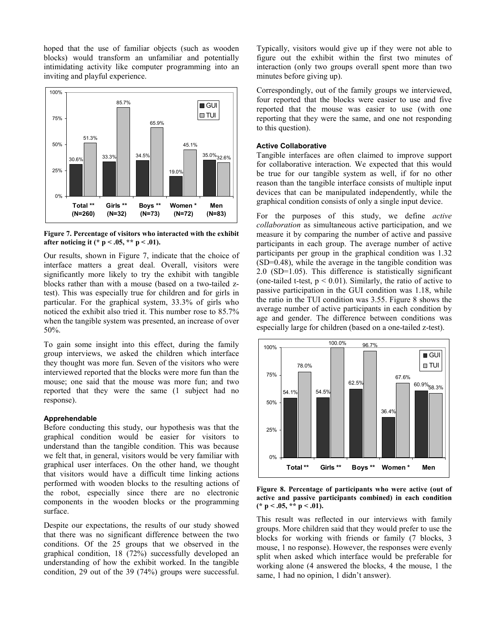hoped that the use of familiar objects (such as wooden blocks) would transform an unfamiliar and potentially intimidating activity like computer programming into an inviting and playful experience.



Figure 7. Percentage of visitors who interacted with the exhibit after noticing it (\* p < .05, \*\* p < .01).

Our results, shown in Figure 7, indicate that the choice of interface matters a great deal. Overall, visitors were significantly more likely to try the exhibit with tangible blocks rather than with a mouse (based on a two-tailed ztest). This was especially true for children and for girls in particular. For the graphical system, 33.3% of girls who noticed the exhibit also tried it. This number rose to 85.7% when the tangible system was presented, an increase of over 50%.

To gain some insight into this effect, during the family group interviews, we asked the children which interface they thought was more fun. Seven of the visitors who were interviewed reported that the blocks were more fun than the mouse; one said that the mouse was more fun; and two reported that they were the same (1 subject had no response).

#### Apprehendable

Before conducting this study, our hypothesis was that the graphical condition would be easier for visitors to understand than the tangible condition. This was because we felt that, in general, visitors would be very familiar with graphical user interfaces. On the other hand, we thought that visitors would have a difficult time linking actions performed with wooden blocks to the resulting actions of the robot, especially since there are no electronic components in the wooden blocks or the programming surface.

Despite our expectations, the results of our study showed that there was no significant difference between the two conditions. Of the 25 groups that we observed in the graphical condition, 18 (72%) successfully developed an understanding of how the exhibit worked. In the tangible condition, 29 out of the 39 (74%) groups were successful.

Typically, visitors would give up if they were not able to figure out the exhibit within the first two minutes of interaction (only two groups overall spent more than two minutes before giving up).

Correspondingly, out of the family groups we interviewed, four reported that the blocks were easier to use and five reported that the mouse was easier to use (with one reporting that they were the same, and one not responding to this question).

# Active Collaborative

Tangible interfaces are often claimed to improve support for collaborative interaction. We expected that this would be true for our tangible system as well, if for no other reason than the tangible interface consists of multiple input devices that can be manipulated independently, while the graphical condition consists of only a single input device.

For the purposes of this study, we define active collaboration as simultaneous active participation, and we measure it by comparing the number of active and passive participants in each group. The average number of active participants per group in the graphical condition was 1.32 (SD=0.48), while the average in the tangible condition was 2.0 (SD=1.05). This difference is statistically significant (one-tailed t-test,  $p < 0.01$ ). Similarly, the ratio of active to passive participation in the GUI condition was 1.18, while the ratio in the TUI condition was 3.55. Figure 8 shows the average number of active participants in each condition by age and gender. The difference between conditions was especially large for children (based on a one-tailed z-test).



Figure 8. Percentage of participants who were active (out of active and passive participants combined) in each condition (\* p < .05, \*\* p < .01).

This result was reflected in our interviews with family groups. More children said that they would prefer to use the blocks for working with friends or family (7 blocks, 3 mouse, 1 no response). However, the responses were evenly split when asked which interface would be preferable for working alone (4 answered the blocks, 4 the mouse, 1 the same, 1 had no opinion, 1 didn't answer).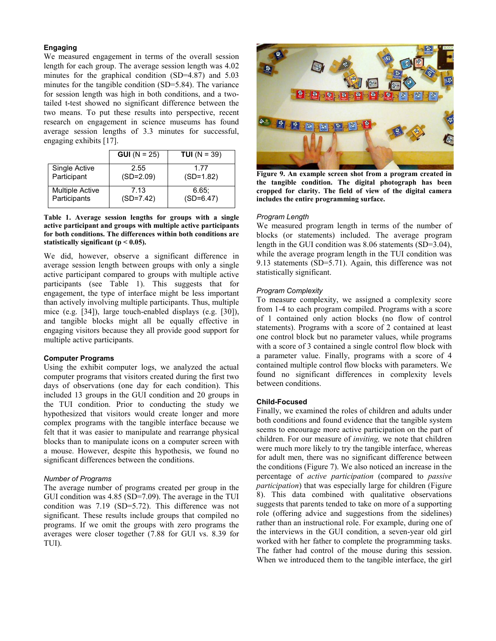# Engaging

We measured engagement in terms of the overall session length for each group. The average session length was 4.02 minutes for the graphical condition (SD=4.87) and 5.03 minutes for the tangible condition (SD=5.84). The variance for session length was high in both conditions, and a twotailed t-test showed no significant difference between the two means. To put these results into perspective, recent research on engagement in science museums has found average session lengths of 3.3 minutes for successful, engaging exhibits [17].

|                 | <b>GUI</b> ( $N = 25$ ) | <b>TUI</b> ( $N = 39$ ) |
|-----------------|-------------------------|-------------------------|
| Single Active   | 2.55                    | 1.77                    |
| Participant     | $(SD=2.09)$             | $(SD=1.82)$             |
| Multiple Active | 7.13                    | 6.65:                   |
| Participants    | $(SD=7.42)$             | $(SD=6.47)$             |

#### Table 1. Average session lengths for groups with a single active participant and groups with multiple active participants for both conditions. The differences within both conditions are statistically significant ( $p < 0.05$ ).

We did, however, observe a significant difference in average session length between groups with only a single active participant compared to groups with multiple active participants (see Table 1). This suggests that for engagement, the type of interface might be less important than actively involving multiple participants. Thus, multiple mice (e.g. [34]), large touch-enabled displays (e.g. [30]), and tangible blocks might all be equally effective in engaging visitors because they all provide good support for multiple active participants.

# Computer Programs

Using the exhibit computer logs, we analyzed the actual computer programs that visitors created during the first two days of observations (one day for each condition). This included 13 groups in the GUI condition and 20 groups in the TUI condition. Prior to conducting the study we hypothesized that visitors would create longer and more complex programs with the tangible interface because we felt that it was easier to manipulate and rearrange physical blocks than to manipulate icons on a computer screen with a mouse. However, despite this hypothesis, we found no significant differences between the conditions.

#### Number of Programs

The average number of programs created per group in the GUI condition was 4.85 (SD=7.09). The average in the TUI condition was 7.19 (SD=5.72). This difference was not significant. These results include groups that compiled no programs. If we omit the groups with zero programs the averages were closer together (7.88 for GUI vs. 8.39 for TUI).



Figure 9. An example screen shot from a program created in the tangible condition. The digital photograph has been cropped for clarity. The field of view of the digital camera includes the entire programming surface.

## Program Length

We measured program length in terms of the number of blocks (or statements) included. The average program length in the GUI condition was 8.06 statements (SD=3.04), while the average program length in the TUI condition was 9.13 statements (SD=5.71). Again, this difference was not statistically significant.

#### Program Complexity

To measure complexity, we assigned a complexity score from 1-4 to each program compiled. Programs with a score of 1 contained only action blocks (no flow of control statements). Programs with a score of 2 contained at least one control block but no parameter values, while programs with a score of 3 contained a single control flow block with a parameter value. Finally, programs with a score of 4 contained multiple control flow blocks with parameters. We found no significant differences in complexity levels between conditions.

#### Child-Focused

Finally, we examined the roles of children and adults under both conditions and found evidence that the tangible system seems to encourage more active participation on the part of children. For our measure of *inviting*, we note that children were much more likely to try the tangible interface, whereas for adult men, there was no significant difference between the conditions (Figure 7). We also noticed an increase in the percentage of active participation (compared to passive participation) that was especially large for children (Figure 8). This data combined with qualitative observations suggests that parents tended to take on more of a supporting role (offering advice and suggestions from the sidelines) rather than an instructional role. For example, during one of the interviews in the GUI condition, a seven-year old girl worked with her father to complete the programming tasks. The father had control of the mouse during this session. When we introduced them to the tangible interface, the girl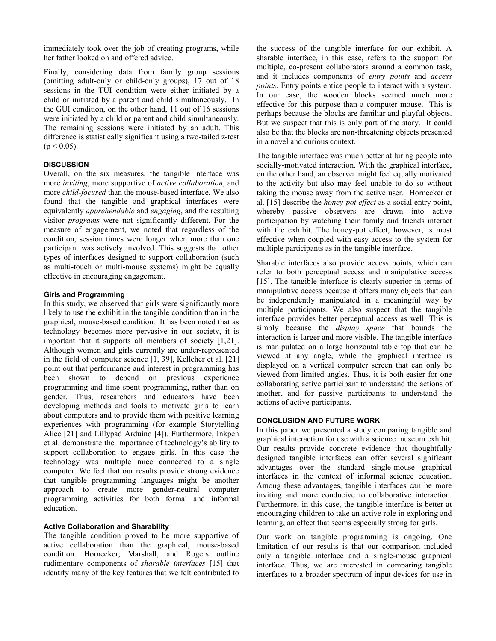immediately took over the job of creating programs, while her father looked on and offered advice.

Finally, considering data from family group sessions (omitting adult-only or child-only groups), 17 out of 18 sessions in the TUI condition were either initiated by a child or initiated by a parent and child simultaneously. In the GUI condition, on the other hand, 11 out of 16 sessions were initiated by a child or parent and child simultaneously. The remaining sessions were initiated by an adult. This difference is statistically significant using a two-tailed z-test  $(p < 0.05)$ .

# **DISCUSSION**

Overall, on the six measures, the tangible interface was more inviting, more supportive of active collaboration, and more child-focused than the mouse-based interface. We also found that the tangible and graphical interfaces were equivalently apprehendable and engaging, and the resulting visitor programs were not significantly different. For the measure of engagement, we noted that regardless of the condition, session times were longer when more than one participant was actively involved. This suggests that other types of interfaces designed to support collaboration (such as multi-touch or multi-mouse systems) might be equally effective in encouraging engagement.

# Girls and Programming

In this study, we observed that girls were significantly more likely to use the exhibit in the tangible condition than in the graphical, mouse-based condition. It has been noted that as technology becomes more pervasive in our society, it is important that it supports all members of society [1,21]. Although women and girls currently are under-represented in the field of computer science [1, 39], Kelleher et al. [21] point out that performance and interest in programming has been shown to depend on previous experience programming and time spent programming, rather than on gender. Thus, researchers and educators have been developing methods and tools to motivate girls to learn about computers and to provide them with positive learning experiences with programming (for example Storytelling Alice [21] and Lillypad Arduino [4]). Furthermore, Inkpen et al. demonstrate the importance of technology's ability to support collaboration to engage girls. In this case the technology was multiple mice connected to a single computer. We feel that our results provide strong evidence that tangible programming languages might be another approach to create more gender-neutral computer programming activities for both formal and informal education.

# Active Collaboration and Sharability

The tangible condition proved to be more supportive of active collaboration than the graphical, mouse-based condition. Hornecker, Marshall, and Rogers outline rudimentary components of sharable interfaces [15] that identify many of the key features that we felt contributed to the success of the tangible interface for our exhibit. A sharable interface, in this case, refers to the support for multiple, co-present collaborators around a common task, and it includes components of entry points and access points. Entry points entice people to interact with a system. In our case, the wooden blocks seemed much more effective for this purpose than a computer mouse. This is perhaps because the blocks are familiar and playful objects. But we suspect that this is only part of the story. It could also be that the blocks are non-threatening objects presented in a novel and curious context.

The tangible interface was much better at luring people into socially-motivated interaction. With the graphical interface, on the other hand, an observer might feel equally motivated to the activity but also may feel unable to do so without taking the mouse away from the active user. Hornecker et al. [15] describe the honey-pot effect as a social entry point, whereby passive observers are drawn into active participation by watching their family and friends interact with the exhibit. The honey-pot effect, however, is most effective when coupled with easy access to the system for multiple participants as in the tangible interface.

Sharable interfaces also provide access points, which can refer to both perceptual access and manipulative access [15]. The tangible interface is clearly superior in terms of manipulative access because it offers many objects that can be independently manipulated in a meaningful way by multiple participants. We also suspect that the tangible interface provides better perceptual access as well. This is simply because the *display space* that bounds the interaction is larger and more visible. The tangible interface is manipulated on a large horizontal table top that can be viewed at any angle, while the graphical interface is displayed on a vertical computer screen that can only be viewed from limited angles. Thus, it is both easier for one collaborating active participant to understand the actions of another, and for passive participants to understand the actions of active participants.

# CONCLUSION AND FUTURE WORK

In this paper we presented a study comparing tangible and graphical interaction for use with a science museum exhibit. Our results provide concrete evidence that thoughtfully designed tangible interfaces can offer several significant advantages over the standard single-mouse graphical interfaces in the context of informal science education. Among these advantages, tangible interfaces can be more inviting and more conducive to collaborative interaction. Furthermore, in this case, the tangible interface is better at encouraging children to take an active role in exploring and learning, an effect that seems especially strong for girls.

Our work on tangible programming is ongoing. One limitation of our results is that our comparison included only a tangible interface and a single-mouse graphical interface. Thus, we are interested in comparing tangible interfaces to a broader spectrum of input devices for use in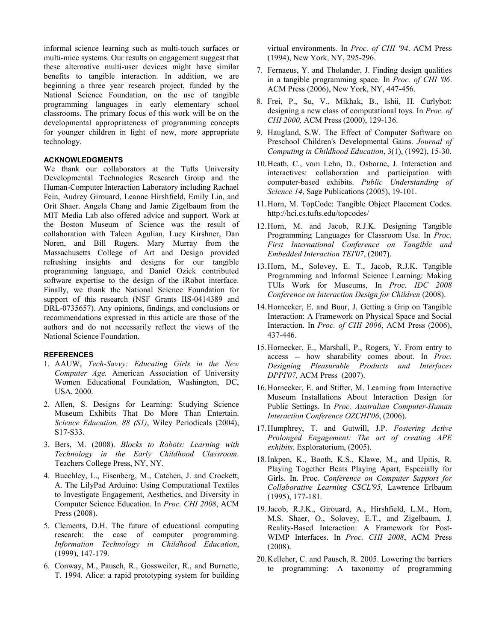informal science learning such as multi-touch surfaces or multi-mice systems. Our results on engagement suggest that these alternative multi-user devices might have similar benefits to tangible interaction. In addition, we are beginning a three year research project, funded by the National Science Foundation, on the use of tangible programming languages in early elementary school classrooms. The primary focus of this work will be on the developmental appropriateness of programming concepts for younger children in light of new, more appropriate technology.

# ACKNOWLEDGMENTS

We thank our collaborators at the Tufts University Developmental Technologies Research Group and the Human-Computer Interaction Laboratory including Rachael Fein, Audrey Girouard, Leanne Hirshfield, Emily Lin, and Orit Shaer. Angela Chang and Jamie Zigelbaum from the MIT Media Lab also offered advice and support. Work at the Boston Museum of Science was the result of collaboration with Taleen Agulian, Lucy Kirshner, Dan Noren, and Bill Rogers. Mary Murray from the Massachusetts College of Art and Design provided refreshing insights and designs for our tangible programming language, and Daniel Ozick contributed software expertise to the design of the iRobot interface. Finally, we thank the National Science Foundation for support of this research (NSF Grants IIS-0414389 and DRL-0735657). Any opinions, findings, and conclusions or recommendations expressed in this article are those of the authors and do not necessarily reflect the views of the National Science Foundation.

## REFERENCES

- 1. AAUW, Tech-Savvy: Educating Girls in the New Computer Age. American Association of University Women Educational Foundation, Washington, DC, USA, 2000.
- 2. Allen, S. Designs for Learning: Studying Science Museum Exhibits That Do More Than Entertain. Science Education, 88 (S1), Wiley Periodicals (2004), S17-S33.
- 3. Bers, M. (2008). Blocks to Robots: Learning with Technology in the Early Childhood Classroom. Teachers College Press, NY, NY.
- 4. Buechley, L., Eisenberg, M., Catchen, J. and Crockett, A. The LilyPad Arduino: Using Computational Textiles to Investigate Engagement, Aesthetics, and Diversity in Computer Science Education. In Proc. CHI 2008, ACM Press (2008).
- 5. Clements, D.H. The future of educational computing research: the case of computer programming. Information Technology in Childhood Education, (1999), 147-179.
- 6. Conway, M., Pausch, R., Gossweiler, R., and Burnette, T. 1994. Alice: a rapid prototyping system for building

virtual environments. In Proc. of CHI '94. ACM Press (1994), New York, NY, 295-296.

- 7. Fernaeus, Y. and Tholander, J. Finding design qualities in a tangible programming space. In Proc. of CHI '06. ACM Press (2006), New York, NY, 447-456.
- 8. Frei, P., Su, V., Mikhak, B., Ishii, H. Curlybot: designing a new class of computational toys. In Proc. of CHI 2000, ACM Press (2000), 129-136.
- 9. Haugland, S.W. The Effect of Computer Software on Preschool Children's Developmental Gains. Journal of Computing in Childhood Education, 3(1), (1992), 15-30.
- 10.Heath, C., vom Lehn, D., Osborne, J. Interaction and interactives: collaboration and participation with computer-based exhibits. Public Understanding of Science 14, Sage Publications (2005), 19-101.
- 11.Horn, M. TopCode: Tangible Object Placement Codes. http://hci.cs.tufts.edu/topcodes/
- 12.Horn, M. and Jacob, R.J.K. Designing Tangible Programming Languages for Classroom Use. In Proc. First International Conference on Tangible and Embedded Interaction TEI'07, (2007).
- 13.Horn, M., Solovey, E. T., Jacob, R.J.K. Tangible Programming and Informal Science Learning: Making TUIs Work for Museums, In Proc. IDC 2008 Conference on Interaction Design for Children (2008).
- 14.Hornecker, E. and Buur, J. Getting a Grip on Tangible Interaction: A Framework on Physical Space and Social Interaction. In Proc. of CHI 2006, ACM Press (2006), 437-446.
- 15.Hornecker, E., Marshall, P., Rogers, Y. From entry to access -- how sharability comes about. In Proc. Designing Pleasurable Products and Interfaces DPPI'07, ACM Press (2007).
- 16.Hornecker, E. and Stifter, M. Learning from Interactive Museum Installations About Interaction Design for Public Settings. In Proc. Australian Computer-Human Interaction Conference OZCHI'06, (2006).
- 17.Humphrey, T. and Gutwill, J.P. Fostering Active Prolonged Engagement: The art of creating APE exhibits. Exploratorium, (2005).
- 18.Inkpen, K., Booth, K.S., Klawe, M., and Upitis, R. Playing Together Beats Playing Apart, Especially for Girls. In. Proc. Conference on Computer Support for Collaborative Learning CSCL'95, Lawrence Erlbaum (1995), 177-181.
- 19.Jacob, R.J.K., Girouard, A., Hirshfield, L.M., Horn, M.S. Shaer, O., Solovey, E.T., and Zigelbaum, J. Reality-Based Interaction: A Framework for Post-WIMP Interfaces. In Proc. CHI 2008, ACM Press (2008).
- 20.Kelleher, C. and Pausch, R. 2005. Lowering the barriers to programming: A taxonomy of programming